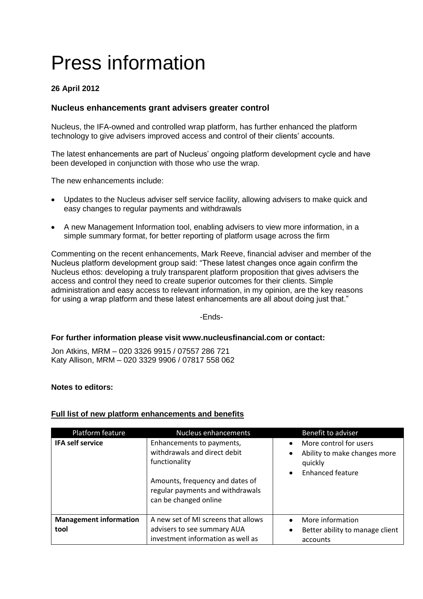# Press information

## **26 April 2012**

## **Nucleus enhancements grant advisers greater control**

Nucleus, the IFA-owned and controlled wrap platform, has further enhanced the platform technology to give advisers improved access and control of their clients' accounts.

The latest enhancements are part of Nucleus' ongoing platform development cycle and have been developed in conjunction with those who use the wrap.

The new enhancements include:

- Updates to the Nucleus adviser self service facility, allowing advisers to make quick and easy changes to regular payments and withdrawals
- A new Management Information tool, enabling advisers to view more information, in a simple summary format, for better reporting of platform usage across the firm

Commenting on the recent enhancements, Mark Reeve, financial adviser and member of the Nucleus platform development group said: "These latest changes once again confirm the Nucleus ethos: developing a truly transparent platform proposition that gives advisers the access and control they need to create superior outcomes for their clients. Simple administration and easy access to relevant information, in my opinion, are the key reasons for using a wrap platform and these latest enhancements are all about doing just that."

-Ends-

#### **For further information please visit www.nucleusfinancial.com or contact:**

Jon Atkins, MRM – 020 3326 9915 / 07557 286 721 Katy Allison, MRM – 020 3329 9906 / 07817 558 062

#### **Notes to editors:**

### **Full list of new platform enhancements and benefits**

| Platform feature                      | Nucleus enhancements                                                                                                                                                       | Benefit to adviser                                                                                                     |
|---------------------------------------|----------------------------------------------------------------------------------------------------------------------------------------------------------------------------|------------------------------------------------------------------------------------------------------------------------|
| <b>IFA self service</b>               | Enhancements to payments,<br>withdrawals and direct debit<br>functionality<br>Amounts, frequency and dates of<br>regular payments and withdrawals<br>can be changed online | More control for users<br>$\bullet$<br>Ability to make changes more<br>quickly<br><b>Enhanced feature</b><br>$\bullet$ |
| <b>Management information</b><br>tool | A new set of MI screens that allows<br>advisers to see summary AUA<br>investment information as well as                                                                    | More information<br>$\bullet$<br>Better ability to manage client<br>٠<br>accounts                                      |